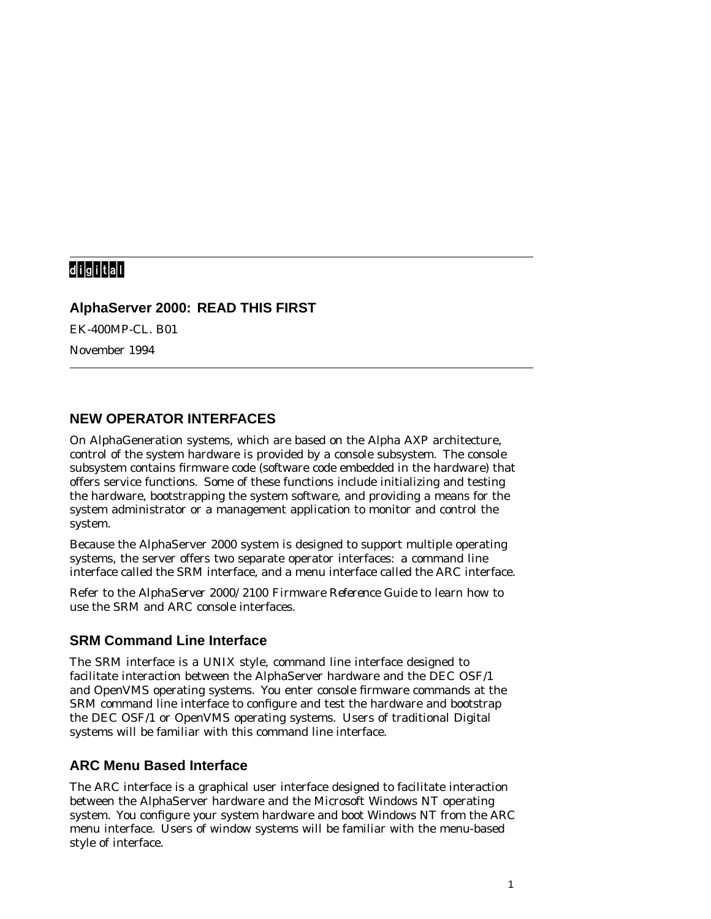# digital<sup>\*</sup>

#### **AlphaServer 2000: READ THIS FIRST**

EK-400MP-CL. B01

November 1994

#### **NEW OPERATOR INTERFACES**

On AlphaGeneration systems, which are based on the Alpha AXP architecture, control of the system hardware is provided by a console subsystem. The console subsystem contains firmware code (software code embedded in the hardware) that offers service functions. Some of these functions include initializing and testing the hardware, bootstrapping the system software, and providing a means for the system administrator or a management application to monitor and control the system.

Because the AlphaServer 2000 system is designed to support multiple operating systems, the server offers two separate operator interfaces: a command line interface called the SRM interface, and a menu interface called the ARC interface.

Refer to the *AlphaServer 2000/2100 Firmware Reference Guide* to learn how to use the SRM and ARC console interfaces.

## **SRM Command Line Interface**

The SRM interface is a UNIX style, command line interface designed to facilitate interaction between the AlphaServer hardware and the DEC OSF/1 and OpenVMS operating systems. You enter console firmware commands at the SRM command line interface to configure and test the hardware and bootstrap the DEC OSF/1 or OpenVMS operating systems. Users of traditional Digital systems will be familiar with this command line interface.

## **ARC Menu Based Interface**

The ARC interface is a graphical user interface designed to facilitate interaction between the AlphaServer hardware and the Microsoft Windows NT operating system. You configure your system hardware and boot Windows NT from the ARC menu interface. Users of window systems will be familiar with the menu-based style of interface.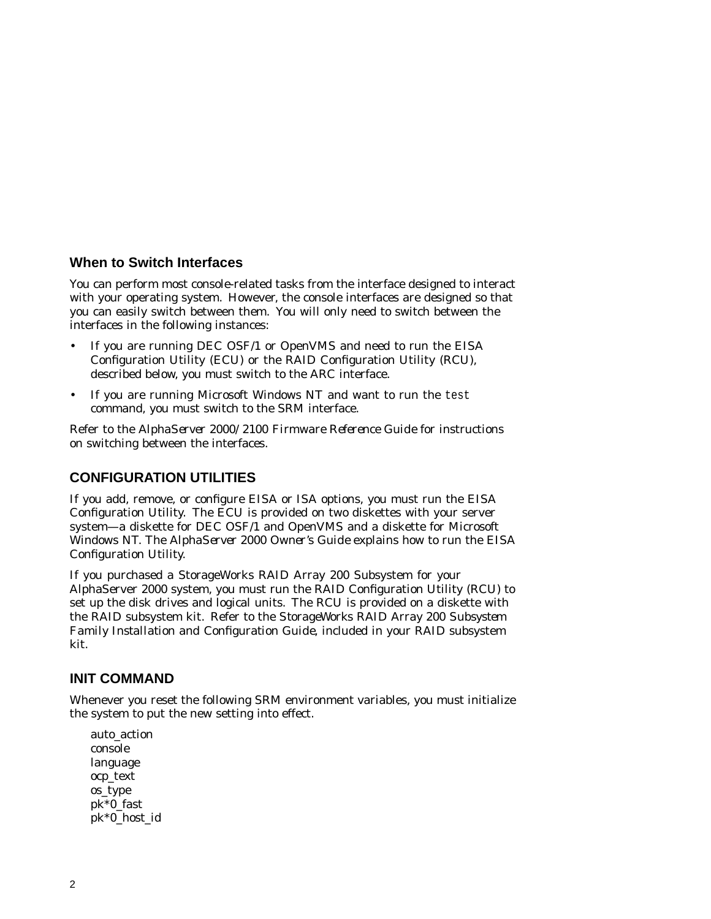#### **When to Switch Interfaces**

You can perform most console-related tasks from the interface designed to interact with your operating system. However, the console interfaces are designed so that you can easily switch between them. You will only need to switch between the interfaces in the following instances:

- If you are running DEC OSF/1 or OpenVMS and need to run the EISA Configuration Utility (ECU) or the RAID Configuration Utility (RCU), described below, you must switch to the ARC interface.
- If you are running Microsoft Windows NT and want to run the test command, you must switch to the SRM interface.

Refer to the *AlphaServer 2000/2100 Firmware Reference Guide* for instructions on switching between the interfaces.

## **CONFIGURATION UTILITIES**

If you add, remove, or configure EISA or ISA options, you must run the EISA Configuration Utility. The ECU is provided on two diskettes with your server system—a diskette for DEC OSF/1 and OpenVMS and a diskette for Microsoft Windows NT. The *AlphaServer 2000 Owner's Guide* explains how to run the EISA Configuration Utility.

If you purchased a StorageWorks RAID Array 200 Subsystem for your AlphaServer 2000 system, you must run the RAID Configuration Utility (RCU) to set up the disk drives and logical units. The RCU is provided on a diskette with the RAID subsystem kit. Refer to the *StorageWorks RAID Array 200 Subsystem Family Installation and Configuration Guide*, included in your RAID subsystem kit.

## **INIT COMMAND**

Whenever you reset the following SRM environment variables, you must initialize the system to put the new setting into effect.

auto\_action console language ocp\_text os\_type pk\*0\_fast pk\*0\_host\_id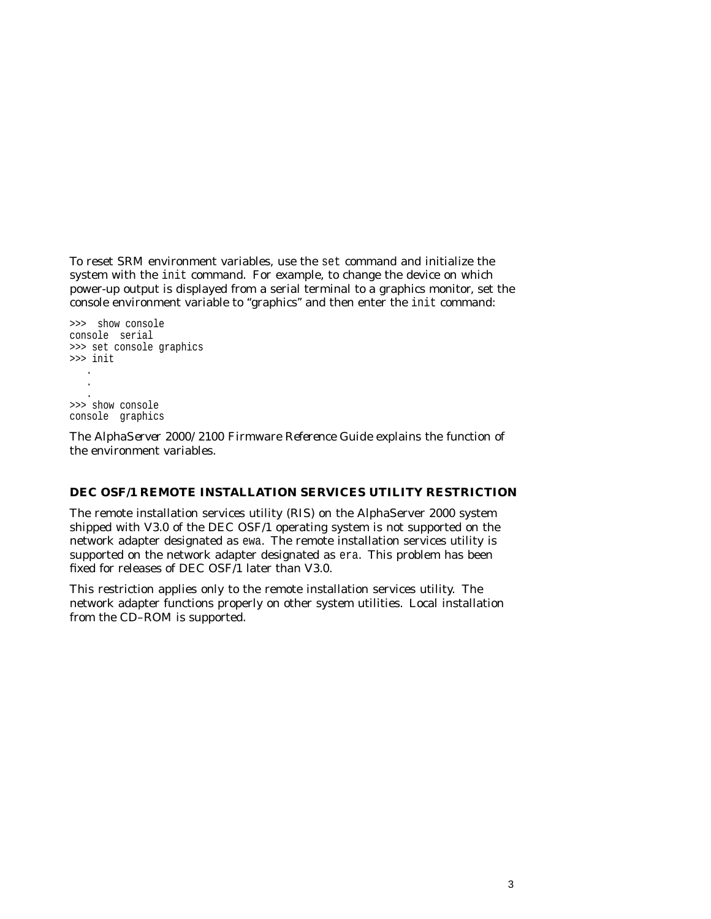To reset SRM environment variables, use the set command and initialize the system with the init command. For example, to change the device on which power-up output is displayed from a serial terminal to a graphics monitor, set the console environment variable to ''graphics'' and then enter the init command:

```
>>> show console
console serial
>>> set console graphics
>>> init .
   .
   . >>> show console
console graphics
```
The *AlphaServer 2000/2100 Firmware Reference Guide* explains the function of the environment variables.

#### **DEC OSF/1 REMOTE INSTALLATION SERVICES UTILITY RESTRICTION**

The remote installation services utility (RIS) on the AlphaServer 2000 system shipped with V3.0 of the DEC OSF/1 operating system is not supported on the network adapter designated as ewa. The remote installation services utility is supported on the network adapter designated as era. This problem has been fixed for releases of DEC OSF/1 later than V3.0.

This restriction applies only to the remote installation services utility. The network adapter functions properly on other system utilities. Local installation from the CD–ROM is supported.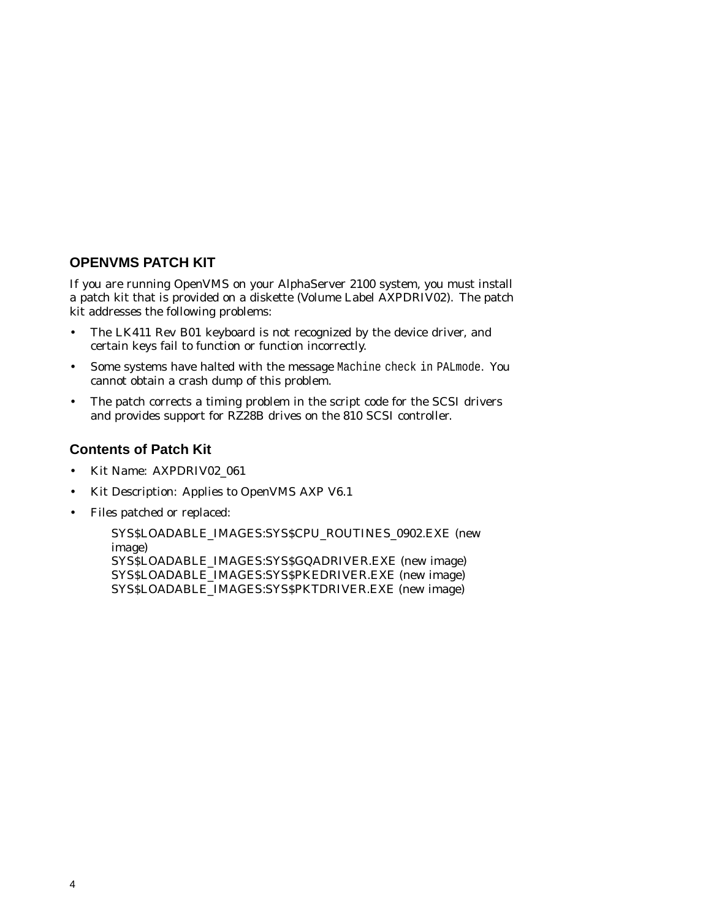## **OPENVMS PATCH KIT**

If you are running OpenVMS on your AlphaServer 2100 system, you must install a patch kit that is provided on a diskette (Volume Label AXPDRIV02). The patch kit addresses the following problems:

- The LK411 Rev B01 keyboard is not recognized by the device driver, and certain keys fail to function or function incorrectly.
- Some systems have halted with the message Machine check in PALmode. You cannot obtain a crash dump of this problem.
- The patch corrects a timing problem in the script code for the SCSI drivers and provides support for RZ28B drives on the 810 SCSI controller.

## **Contents of Patch Kit**

- Kit Name: AXPDRIV02\_061
- Kit Description: Applies to OpenVMS AXP V6.1
- Files patched or replaced:

SYS\$LOADABLE\_IMAGES:SYS\$CPU\_ROUTINES\_0902.EXE (new image) SYS\$LOADABLE\_IMAGES:SYS\$GQADRIVER.EXE (new image) SYS\$LOADABLE\_IMAGES:SYS\$PKEDRIVER.EXE (new image) SYS\$LOADABLE\_IMAGES:SYS\$PKTDRIVER.EXE (new image)